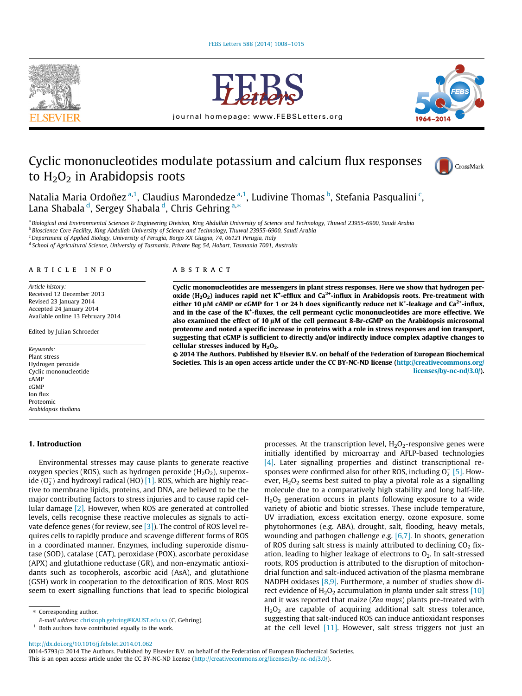



journal homepage: [www.FEBSLetters.org](http://www.FEBSLetters.org)



# Cyclic mononucleotides modulate potassium and calcium flux responses to  $H_2O_2$  in Arabidopsis roots



Natalia Maria Ordoñez <sup>a,1</sup>, Claudius Marondedze <sup>a,1</sup>, Ludivine Thomas <sup>b</sup>, Stefania Pasqualini <sup>c</sup>, Lana Shabala <sup>d</sup>, Sergey Shabala <sup>d</sup>, Chris Gehring <sup>a,</sup>\*

a Biological and Environmental Sciences & Engineering Division, King Abdullah University of Science and Technology, Thuwal 23955-6900, Saudi Arabia

**b Bioscience Core Facility, King Abdullah University of Science and Technology, Thuwal 23955-6900, Saudi Arabia** 

<sup>c</sup> Department of Applied Biology, University of Perugia, Borgo XX Giugno, 74, 06121 Perugia, Italy

<sup>d</sup> School of Agricultural Science, University of Tasmania, Private Bag 54, Hobart, Tasmania 7001, Australia

# article info

Article history: Received 12 December 2013 Revised 23 January 2014 Accepted 24 January 2014 Available online 13 February 2014

Edited by Julian Schroeder

Keywords: Plant stress Hydrogen peroxide Cyclic mononucleotide cAMP cGMP Ion flux Proteomic Arabidopsis thaliana

## 1. Introduction

Environmental stresses may cause plants to generate reactive oxygen species (ROS), such as hydrogen peroxide  $(H_2O_2)$ , superoxide  $(0^-_2)$  and hydroxyl radical (HO) [\[1\]](#page-6-0). ROS, which are highly reactive to membrane lipids, proteins, and DNA, are believed to be the major contributing factors to stress injuries and to cause rapid cellular damage [\[2\].](#page-6-0) However, when ROS are generated at controlled levels, cells recognise these reactive molecules as signals to activate defence genes (for review, see [\[3\]](#page-6-0)). The control of ROS level requires cells to rapidly produce and scavenge different forms of ROS in a coordinated manner. Enzymes, including superoxide dismutase (SOD), catalase (CAT), peroxidase (POX), ascorbate peroxidase (APX) and glutathione reductase (GR), and non-enzymatic antioxidants such as tocopherols, ascorbic acid (AsA), and glutathione (GSH) work in cooperation to the detoxification of ROS. Most ROS seem to exert signalling functions that lead to specific biological

⇑ Corresponding author.

 $1$  Both authors have contributed equally to the work.

# **ABSTRACT**

Cyclic mononucleotides are messengers in plant stress responses. Here we show that hydrogen peroxide (H<sub>2</sub>O<sub>2</sub>) induces rapid net K<sup>+</sup>-efflux and Ca<sup>2+</sup>-influx in Arabidopsis roots. Pre-treatment with either 10 µM cAMP or cGMP for 1 or 24 h does significantly reduce net K<sup>+</sup>-leakage and Ca<sup>2+</sup>-influx, and in the case of the K<sup>+</sup>-fluxes, the cell permeant cyclic mononucleotides are more effective. We also examined the effect of 10  $\mu$ M of the cell permeant 8-Br-cGMP on the Arabidopsis microsomal proteome and noted a specific increase in proteins with a role in stress responses and ion transport, suggesting that cGMP is sufficient to directly and/or indirectly induce complex adaptive changes to cellular stresses induced by  $H_2O_2$ .

© 2014 The Authors. Published by Elsevier B.V. on behalf of the Federation of European Biochemical Societies. This is an open access article under the CC BY-NC-ND license ([http://creativecommons.org/](http://creativecommons.org/licenses/by-nc-nd/3.0/) [licenses/by-nc-nd/3.0/](http://creativecommons.org/licenses/by-nc-nd/3.0/)).

> processes. At the transcription level,  $H_2O_2$ -responsive genes were initially identified by microarray and AFLP-based technologies [\[4\]](#page-6-0). Later signalling properties and distinct transcriptional responses were confirmed also for other ROS, including  $O_2^-$  [\[5\].](#page-6-0) However,  $H_2O_2$  seems best suited to play a pivotal role as a signalling molecule due to a comparatively high stability and long half-life.  $H<sub>2</sub>O<sub>2</sub>$  generation occurs in plants following exposure to a wide variety of abiotic and biotic stresses. These include temperature, UV irradiation, excess excitation energy, ozone exposure, some phytohormones (e.g. ABA), drought, salt, flooding, heavy metals, wounding and pathogen challenge e.g. [\[6,7\]](#page-6-0). In shoots, generation of ROS during salt stress is mainly attributed to declining  $CO<sub>2</sub>$  fixation, leading to higher leakage of electrons to  $O<sub>2</sub>$ . In salt-stressed roots, ROS production is attributed to the disruption of mitochondrial function and salt-induced activation of the plasma membrane NADPH oxidases [\[8,9\]](#page-6-0). Furthermore, a number of studies show direct evidence of  $H_2O_2$  accumulation in planta under salt stress [\[10\]](#page-6-0) and it was reported that maize (Zea mays) plants pre-treated with  $H<sub>2</sub>O<sub>2</sub>$  are capable of acquiring additional salt stress tolerance, suggesting that salt-induced ROS can induce antioxidant responses at the cell level [\[11\].](#page-6-0) However, salt stress triggers not just an

<http://dx.doi.org/10.1016/j.febslet.2014.01.062>

0014-5793/© 2014 The Authors. Published by Elsevier B.V. on behalf of the Federation of European Biochemical Societies. This is an open access article under the CC BY-NC-ND license ([http://creativecommons.org/licenses/by-nc-nd/3.0/\)](http://creativecommons.org/licenses/by-nc-nd/3.0/).

E-mail address: [christoph.gehring@KAUST.edu.sa](mailto:christoph.gehring@KAUST.edu.sa) (C. Gehring).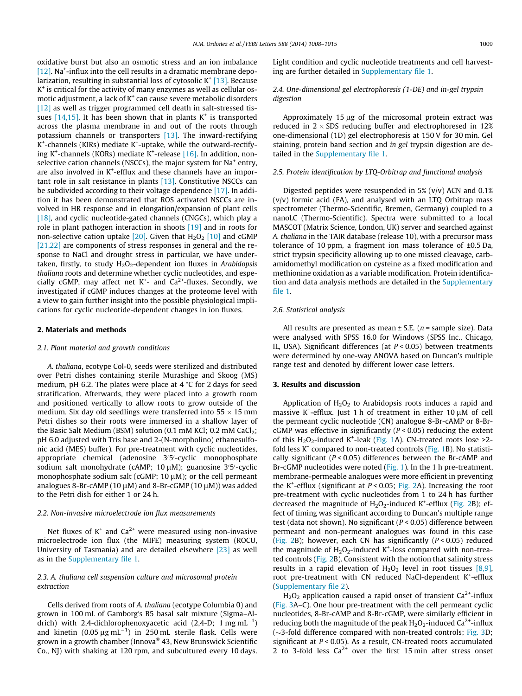oxidative burst but also an osmotic stress and an ion imbalance [\[12\].](#page-6-0) Na<sup>+</sup>-influx into the cell results in a dramatic membrane depolarization, resulting in substantial loss of cytosolic  $K^+$  [\[13\]](#page-6-0). Because  $K^+$  is critical for the activity of many enzymes as well as cellular osmotic adjustment, a lack of  $K^+$  can cause severe metabolic disorders [\[12\]](#page-6-0) as well as trigger programmed cell death in salt-stressed tissues  $[14,15]$ . It has been shown that in plants  $K^+$  is transported across the plasma membrane in and out of the roots through potassium channels or transporters [\[13\].](#page-6-0) The inward-rectifying K<sup>+</sup>-channels (KIRs) mediate K<sup>+</sup>-uptake, while the outward-rectify-ing K<sup>+</sup>-channels (KORs) mediate K<sup>+</sup>-release [\[16\]](#page-6-0). In addition, nonselective cation channels (NSCCs), the major system for Na<sup>+</sup> entry, are also involved in K<sup>+</sup>-efflux and these channels have an important role in salt resistance in plants [\[13\]](#page-6-0). Constitutive NSCCs can be subdivided according to their voltage dependence [\[17\].](#page-6-0) In addition it has been demonstrated that ROS activated NSCCs are involved in HR response and in elongation/expansion of plant cells [\[18\],](#page-6-0) and cyclic nucleotide-gated channels (CNGCs), which play a role in plant pathogen interaction in shoots [\[19\]](#page-6-0) and in roots for non-selective cation uptake  $[20]$ . Given that  $H_2O_2$   $[10]$  and cGMP [\[21,22\]](#page-6-0) are components of stress responses in general and the response to NaCl and drought stress in particular, we have undertaken, firstly, to study  $H_2O_2$ -dependent ion fluxes in Arabidopsis thaliana roots and determine whether cyclic nucleotides, and especially cGMP, may affect net  $K^+$ - and Ca<sup>2+</sup>-fluxes. Secondly, we investigated if cGMP induces changes at the proteome level with a view to gain further insight into the possible physiological implications for cyclic nucleotide-dependent changes in ion fluxes.

# 2. Materials and methods

#### 2.1. Plant material and growth conditions

A. thaliana, ecotype Col-0, seeds were sterilized and distributed over Petri dishes containing sterile Murashige and Skoog (MS) medium, pH 6.2. The plates were place at  $4^{\circ}$ C for 2 days for seed stratification. Afterwards, they were placed into a growth room and positioned vertically to allow roots to grow outside of the medium. Six day old seedlings were transferred into  $55 \times 15$  mm Petri dishes so their roots were immersed in a shallow layer of the Basic Salt Medium (BSM) solution (0.1 mM KCl; 0.2 mM CaCl<sub>2</sub>; pH 6.0 adjusted with Tris base and 2-(N-morpholino) ethanesulfonic acid (MES) buffer). For pre-treatment with cyclic nucleotides, appropriate chemical (adenosine 3'5'-cyclic monophosphate sodium salt monohydrate (cAMP; 10 µM); guanosine 3'5'-cyclic monophosphate sodium salt (cGMP;  $10 \mu$ M); or the cell permeant analogues 8-Br-cAMP (10  $\mu$ M) and 8-Br-cGMP (10  $\mu$ M)) was added to the Petri dish for either 1 or 24 h.

# 2.2. Non-invasive microelectrode ion flux measurements

Net fluxes of  $K^+$  and  $Ca^{2+}$  were measured using non-invasive microelectrode ion flux (the MIFE) measuring system (ROCU, University of Tasmania) and are detailed elsewhere [\[23\]](#page-6-0) as well as in the Supplementary file 1.

# 2.3. A. thaliana cell suspension culture and microsomal protein extraction

Cells derived from roots of A. thaliana (ecotype Columbia 0) and grown in 100 mL of Gamborg's B5 basal salt mixture (Sigma–Aldrich) with 2,4-dichlorophenoxyacetic acid  $(2,4-D; 1$  mg mL<sup>-1</sup>) and kinetin  $(0.05 \,\mu g \,\text{mL}^{-1})$  in 250 mL sterile flask. Cells were grown in a growth chamber (Innova® 43, New Brunswick Scientific Co., NJ) with shaking at 120 rpm, and subcultured every 10 days. Light condition and cyclic nucleotide treatments and cell harvesting are further detailed in Supplementary file 1.

# 2.4. One-dimensional gel electrophoresis (1-DE) and in-gel trypsin digestion

Approximately  $15 \mu g$  of the microsomal protein extract was reduced in  $2 \times$  SDS reducing buffer and electrophoresed in 12% one-dimensional (1D) gel electrophoresis at 150 V for 30 min. Gel staining, protein band section and in gel trypsin digestion are detailed in the Supplementary file 1.

# 2.5. Protein identification by LTQ-Orbitrap and functional analysis

Digested peptides were resuspended in 5% (v/v) ACN and 0.1%  $(v/v)$  formic acid (FA), and analysed with an LTQ Orbitrap mass spectrometer (Thermo-Scientific, Bremen, Germany) coupled to a nanoLC (Thermo-Scientific). Spectra were submitted to a local MASCOT (Matrix Science, London, UK) server and searched against A. thaliana in the TAIR database (release 10), with a precursor mass tolerance of 10 ppm, a fragment ion mass tolerance of  $\pm 0.5$  Da, strict trypsin specificity allowing up to one missed cleavage, carbamidomethyl modification on cysteine as a fixed modification and methionine oxidation as a variable modification. Protein identification and data analysis methods are detailed in the Supplementary file 1.

# 2.6. Statistical analysis

All results are presented as mean  $\pm$  S.E. (*n* = sample size). Data were analysed with SPSS 16.0 for Windows (SPSS Inc., Chicago, IL, USA). Significant differences (at  $P < 0.05$ ) between treatments were determined by one-way ANOVA based on Duncan's multiple range test and denoted by different lower case letters.

#### 3. Results and discussion

Application of  $H_2O_2$  to Arabidopsis roots induces a rapid and massive K<sup>+</sup>-efflux. Just 1 h of treatment in either 10  $\mu$ M of cell the permeant cyclic nucleotide (CN) analogue 8-Br-cAMP or 8-BrcGMP was effective in significantly ( $P < 0.05$ ) reducing the extent of this  $H_2O_2$ -induced K<sup>+</sup>-leak [\(Fig. 1A](#page-2-0)). CN-treated roots lose >2fold less  $K^+$  compared to non-treated controls [\(Fig. 1](#page-2-0)B). No statistically significant ( $P < 0.05$ ) differences between the Br-cAMP and Br-cGMP nucleotides were noted [\(Fig. 1](#page-2-0)). In the 1 h pre-treatment, membrane-permeable analogues were more efficient in preventing the K<sup>+</sup>-efflux (significant at  $P < 0.05$ ; [Fig. 2A](#page-2-0)). Increasing the root pre-treatment with cyclic nucleotides from 1 to 24 h has further decreased the magnitude of  $H_2O_2$ -induced K<sup>+</sup>-efflux [\(Fig. 2](#page-2-0)B); effect of timing was significant according to Duncan's multiple range test (data not shown). No significant (P < 0.05) difference between permeant and non-permeant analogues was found in this case ([Fig. 2](#page-2-0)B); however, each CN has significantly ( $P < 0.05$ ) reduced the magnitude of  $H_2O_2$ -induced K<sup>+</sup>-loss compared with non-treated controls [\(Fig. 2B](#page-2-0)). Consistent with the notion that salinity stress results in a rapid elevation of  $H_2O_2$  level in root tissues [\[8,9\],](#page-6-0) root pre-treatment with CN reduced NaCl-dependent K<sup>+</sup>-efflux (Supplementary file 2).

 $H<sub>2</sub>O<sub>2</sub>$  application caused a rapid onset of transient Ca<sup>2+</sup>-influx ([Fig. 3A](#page-3-0)–C). One hour pre-treatment with the cell permeant cyclic nucleotides, 8-Br-cAMP and 8-Br-cGMP, were similarly efficient in reducing both the magnitude of the peak  $H_2O_2$ -induced Ca<sup>2+</sup>-influx  $(\sim$ 3-fold difference compared with non-treated controls; [Fig. 3D](#page-3-0); significant at  $P < 0.05$ ). As a result, CN-treated roots accumulated 2 to 3-fold less  $Ca^{2+}$  over the first 15 min after stress onset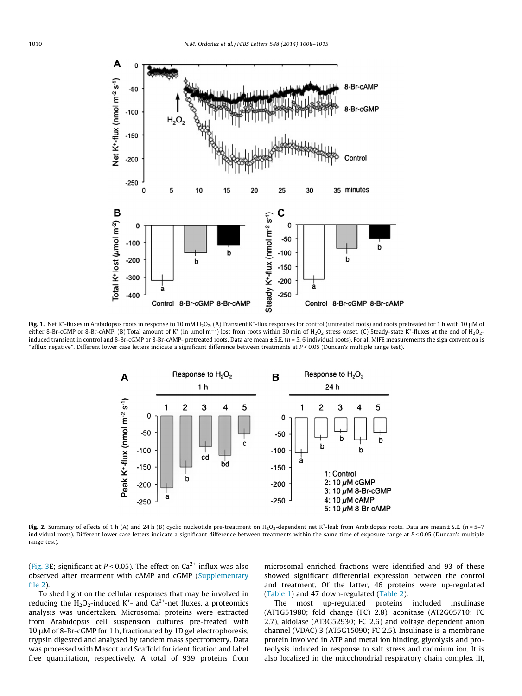<span id="page-2-0"></span>

Fig. 1. Net K\*-fluxes in Arabidopsis roots in response to 10 mM H<sub>2</sub>O<sub>2</sub>. (A) Transient K\*-flux responses for control (untreated roots) and roots pretreated for 1 h with 10 µM of either 8-Br-cGMP or 8-Br-cAMP. (B) Total amount of K\* (in µmol m<sup>-2</sup>) lost from roots within 30 min of H2O2 stress onset. (C) Steady-state K\*-fluxes at the end of H2O2induced transient in control and 8-Br-cGMP or 8-Br-cAMP- pretreated roots. Data are mean ± S.E. (n = 5, 6 individual roots). For all MIFE measurements the sign convention is "efflux negative". Different lower case letters indicate a significant difference between treatments at  $P < 0.05$  (Duncan's multiple range test).



Fig. 2. Summary of effects of 1 h (A) and 24 h (B) cyclic nucleotide pre-treatment on  $H_2O_2$ -dependent net K\*-leak from Arabidopsis roots. Data are mean ± S.E. (n = 5–7 individual roots). Different lower case letters indicate a significant difference between treatments within the same time of exposure range at P < 0.05 (Duncan's multiple range test).

([Fig. 3](#page-3-0)E; significant at  $P < 0.05$ ). The effect on Ca<sup>2+</sup>-influx was also observed after treatment with cAMP and cGMP (Supplementary file 2).

To shed light on the cellular responses that may be involved in reducing the  $H_2O_2$ -induced K<sup>+</sup>- and Ca<sup>2+</sup>-net fluxes, a proteomics analysis was undertaken. Microsomal proteins were extracted from Arabidopsis cell suspension cultures pre-treated with 10  $\mu$ M of 8-Br-cGMP for 1 h, fractionated by 1D gel electrophoresis, trypsin digested and analysed by tandem mass spectrometry. Data was processed with Mascot and Scaffold for identification and label free quantitation, respectively. A total of 939 proteins from microsomal enriched fractions were identified and 93 of these showed significant differential expression between the control and treatment. Of the latter, 46 proteins were up-regulated ([Table 1\)](#page-4-0) and 47 down-regulated [\(Table 2\)](#page-5-0).

The most up-regulated proteins included insulinase (AT1G51980; fold change (FC) 2.8), aconitase (AT2G05710; FC 2.7), aldolase (AT3G52930; FC 2.6) and voltage dependent anion channel (VDAC) 3 (AT5G15090; FC 2.5). Insulinase is a membrane protein involved in ATP and metal ion binding, glycolysis and proteolysis induced in response to salt stress and cadmium ion. It is also localized in the mitochondrial respiratory chain complex III,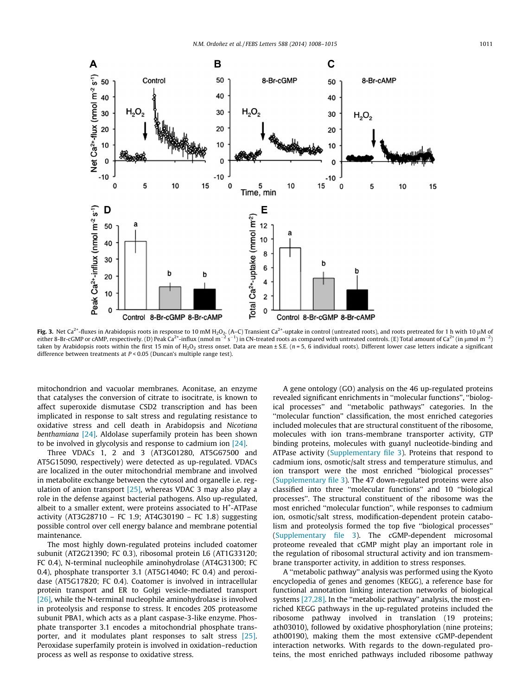<span id="page-3-0"></span>

Fig. 3. Net Ca<sup>2+</sup>-fluxes in Arabidopsis roots in response to 10 mM H<sub>2</sub>O<sub>2</sub>. (A–C) Transient Ca<sup>2+</sup>-uptake in control (untreated roots), and roots pretreated for 1 h with 10 µM of either 8-Br-cGMP or cAMP, respectively. (D) Peak Ca<sup>2+</sup>-influx (nmol m $^{-2}$  s $^{-1}$ ) in CN-treated roots as compared with untreated controls. (E) Total amount of Ca<sup>2+</sup> (in µmol m $^{-2}$ ) taken by Arabidopsis roots within the first 15 min of H<sub>2</sub>O<sub>2</sub> stress onset. Data are mean  $\pm$  S.E. (n = 5, 6 individual roots). Different lower case letters indicate a significant difference between treatments at  $P < 0.05$  (Duncan's multiple range test).

mitochondrion and vacuolar membranes. Aconitase, an enzyme that catalyses the conversion of citrate to isocitrate, is known to affect superoxide dismutase CSD2 transcription and has been implicated in response to salt stress and regulating resistance to oxidative stress and cell death in Arabidopsis and Nicotiana benthamiana [\[24\]](#page-6-0). Aldolase superfamily protein has been shown to be involved in glycolysis and response to cadmium ion [\[24\].](#page-6-0)

Three VDACs 1, 2 and 3 (AT3G01280, AT5G67500 and AT5G15090, respectively) were detected as up-regulated. VDACs are localized in the outer mitochondrial membrane and involved in metabolite exchange between the cytosol and organelle i.e. regulation of anion transport [\[25\],](#page-6-0) whereas VDAC 3 may also play a role in the defense against bacterial pathogens. Also up-regulated, albeit to a smaller extent, were proteins associated to H<sup>+</sup>-ATPase activity (AT3G28710 – FC 1.9; AT4G30190 – FC 1.8) suggesting possible control over cell energy balance and membrane potential maintenance.

The most highly down-regulated proteins included coatomer subunit (AT2G21390; FC 0.3), ribosomal protein L6 (AT1G33120; FC 0.4), N-terminal nucleophile aminohydrolase (AT4G31300; FC 0.4), phosphate transporter 3.1 (AT5G14040; FC 0.4) and peroxidase (AT5G17820; FC 0.4). Coatomer is involved in intracellular protein transport and ER to Golgi vesicle-mediated transport [\[26\],](#page-6-0) while the N-terminal nucleophile aminohydrolase is involved in proteolysis and response to stress. It encodes 20S proteasome subunit PBA1, which acts as a plant caspase-3-like enzyme. Phosphate transporter 3.1 encodes a mitochondrial phosphate transporter, and it modulates plant responses to salt stress [\[25\].](#page-6-0) Peroxidase superfamily protein is involved in oxidation–reduction process as well as response to oxidative stress.

A gene ontology (GO) analysis on the 46 up-regulated proteins revealed significant enrichments in ''molecular functions'', ''biological processes'' and ''metabolic pathways'' categories. In the ''molecular function'' classification, the most enriched categories included molecules that are structural constituent of the ribosome, molecules with ion trans-membrane transporter activity, GTP binding proteins, molecules with guanyl nucleotide-binding and ATPase activity (Supplementary file 3). Proteins that respond to cadmium ions, osmotic/salt stress and temperature stimulus, and ion transport were the most enriched ''biological processes'' (Supplementary file 3). The 47 down-regulated proteins were also classified into three ''molecular functions'' and 10 ''biological processes''. The structural constituent of the ribosome was the most enriched ''molecular function'', while responses to cadmium ion, osmotic/salt stress, modification-dependent protein catabolism and proteolysis formed the top five ''biological processes'' (Supplementary file 3). The cGMP-dependent microsomal proteome revealed that cGMP might play an important role in the regulation of ribosomal structural activity and ion transmembrane transporter activity, in addition to stress responses.

A ''metabolic pathway'' analysis was performed using the Kyoto encyclopedia of genes and genomes (KEGG), a reference base for functional annotation linking interaction networks of biological systems [\[27,28\].](#page-6-0) In the ''metabolic pathway'' analysis, the most enriched KEGG pathways in the up-regulated proteins included the ribosome pathway involved in translation (19 proteins; ath03010), followed by oxidative phosphorylation (nine proteins; ath00190), making them the most extensive cGMP-dependent interaction networks. With regards to the down-regulated proteins, the most enriched pathways included ribosome pathway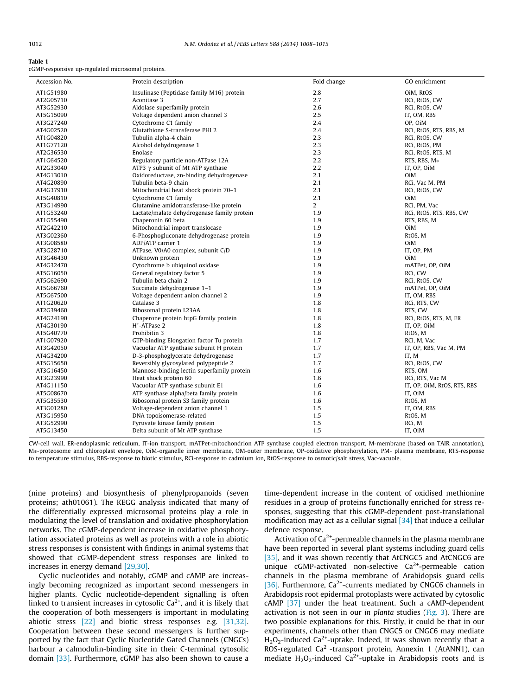#### <span id="page-4-0"></span>Table 1

cGMP-responsive up-regulated microsomal proteins.

| Accession No. | Protein description                         | Fold change    | GO enrichment               |
|---------------|---------------------------------------------|----------------|-----------------------------|
| AT1G51980     | Insulinase (Peptidase family M16) protein   | 2.8            | OiM, RtOS                   |
| AT2G05710     | Aconitase 3                                 | 2.7            | RCi, RtOS, CW               |
| AT3G52930     | Aldolase superfamily protein                | 2.6            | RCi, RtOS, CW               |
| AT5G15090     | Voltage dependent anion channel 3           | 2.5            | IT, OM, RBS                 |
| AT3G27240     | Cytochrome C1 family                        | 2.4            | OP, OiM                     |
| AT4G02520     | Glutathione S-transferase PHI 2             | 2.4            | RCi, RtOS, RTS, RBS, M      |
| AT1G04820     | Tubulin alpha-4 chain                       | 2.3            | RCi, RtOS, CW               |
| AT1G77120     | Alcohol dehydrogenase 1                     | 2.3            | RCi, RtOS, PM               |
| AT2G36530     | Enolase                                     | 2.3            | RCi, RtOS, RTS, M           |
| AT1G64520     | Regulatory particle non-ATPase 12A          | 2.2            | RTS, RBS, M*                |
| AT2G33040     | ATP3 $\gamma$ subunit of Mt ATP synthase    | 2.2            | IT, OP, OiM                 |
| AT4G13010     | Oxidoreductase, zn-binding dehydrogenase    | 2.1            | OiM                         |
| AT4G20890     | Tubulin beta-9 chain                        | 2.1            | RCi, Vac M, PM              |
| AT4G37910     | Mitochondrial heat shock protein 70-1       | 2.1            | RCi, RtOS, CW               |
| AT5G40810     | Cytochrome C1 family                        | 2.1            | OiM                         |
| AT3G14990     | Glutamine amidotransferase-like protein     | $\overline{2}$ | RCi, PM, Vac                |
| AT1G53240     | Lactate/malate dehydrogenase family protein | 1.9            | RCi, RtOS, RTS, RBS, CW     |
| AT1G55490     | Chaperonin 60 beta                          | 1.9            | RTS, RBS, M                 |
| AT2G42210     | Mitochondrial import translocase            | 1.9            | OiM                         |
| AT3G02360     | 6-Phosphogluconate dehydrogenase protein    | 1.9            | RtOS, M                     |
| AT3G08580     | ADP/ATP carrier 1                           | 1.9            | OiM                         |
| AT3G28710     | ATPase, V0/A0 complex, subunit C/D          | 1.9            | IT, OP, PM                  |
| AT3G46430     | Unknown protein                             | 1.9            | OiM                         |
| AT4G32470     | Cytochrome b ubiquinol oxidase              | 1.9            | mATPet, OP, OiM             |
| AT5G16050     | General regulatory factor 5                 | 1.9            | RCi, CW                     |
| AT5G62690     | Tubulin beta chain 2                        | 1.9            | RCi, RtOS, CW               |
| AT5G66760     | Succinate dehydrogenase 1-1                 | 1.9            | mATPet, OP, OiM             |
| AT5G67500     | Voltage dependent anion channel 2           | 1.9            | IT, OM, RBS                 |
| AT1G20620     | Catalase 3                                  | 1.8            | RCi, RTS, CW                |
| AT2G39460     | Ribosomal protein L23AA                     | 1.8            | RTS, CW                     |
| AT4G24190     | Chaperone protein htpG family protein       | 1.8            | RCi, RtOS, RTS, M, ER       |
| AT4G30190     | H <sup>+</sup> -ATPase 2                    | 1.8            | IT, OP, OiM                 |
| AT5G40770     | Prohibitin 3                                | 1.8            | RtOS, M                     |
| AT1G07920     | GTP-binding Elongation factor Tu protein    | 1.7            | RCi, M, Vac                 |
| AT3G42050     | Vacuolar ATP synthase subunit H protein     | 1.7            | IT, OP, RBS, Vac M, PM      |
| AT4G34200     | D-3-phosphoglycerate dehydrogenase          | 1.7            | IT, M                       |
| AT5G15650     | Reversibly glycosylated polypeptide 2       | 1.7            | RCi, RtOS, CW               |
| AT3G16450     | Mannose-binding lectin superfamily protein  | 1.6            | RTS, OM                     |
| AT3G23990     | Heat shock protein 60                       | 1.6            | RCi, RTS, Vac M             |
| AT4G11150     | Vacuolar ATP synthase subunit E1            | 1.6            | IT, OP, OiM, RtOS, RTS, RBS |
| AT5G08670     | ATP synthase alpha/beta family protein      | 1.6            | IT, OiM                     |
| AT5G35530     | Ribosomal protein S3 family protein         | 1.6            | RtOS, M                     |
| AT3G01280     | Voltage-dependent anion channel 1           | 1.5            | IT, OM, RBS                 |
| AT3G15950     | DNA topoisomerase-related                   | 1.5            | RtOS, M                     |
| AT3G52990     | Pyruvate kinase family protein              | 1.5            | RCi, M                      |
| AT5G13450     | Delta subunit of Mt ATP synthase            | 1.5            | IT, OiM                     |

CW-cell wall, ER-endoplasmic reticulum, IT-ion transport, mATPet-mitochondrion ATP synthase coupled electron transport, M-membrane (based on TAIR annotation), M⁄-proteosome and chloroplast envelope, OiM-organelle inner membrane, OM-outer membrane, OP-oxidative phosphorylation, PM- plasma membrane, RTS-response to temperature stimulus, RBS-response to biotic stimulus, RCi-response to cadmium ion, RtOS-response to osmotic/salt stress, Vac-vacuole.

(nine proteins) and biosynthesis of phenylpropanoids (seven proteins; ath01061). The KEGG analysis indicated that many of the differentially expressed microsomal proteins play a role in modulating the level of translation and oxidative phosphorylation networks. The cGMP-dependent increase in oxidative phosphorylation associated proteins as well as proteins with a role in abiotic stress responses is consistent with findings in animal systems that showed that cGMP-dependent stress responses are linked to increases in energy demand [\[29,30\].](#page-6-0)

Cyclic nucleotides and notably, cGMP and cAMP are increasingly becoming recognized as important second messengers in higher plants. Cyclic nucleotide-dependent signalling is often linked to transient increases in cytosolic  $Ca<sup>2+</sup>$ , and it is likely that the cooperation of both messengers is important in modulating abiotic stress [\[22\]](#page-6-0) and biotic stress responses e.g. [\[31,32\].](#page-6-0) Cooperation between these second messengers is further supported by the fact that Cyclic Nucleotide Gated Channels (CNGCs) harbour a calmodulin-binding site in their C-terminal cytosolic domain [\[33\].](#page-6-0) Furthermore, cGMP has also been shown to cause a time-dependent increase in the content of oxidised methionine residues in a group of proteins functionally enriched for stress responses, suggesting that this cGMP-dependent post-translational modification may act as a cellular signal [\[34\]](#page-6-0) that induce a cellular defence response.

Activation of  $Ca<sup>2+</sup>$ -permeable channels in the plasma membrane have been reported in several plant systems including guard cells [\[35\]](#page-6-0), and it was shown recently that AtCNGC5 and AtCNGC6 are unique  $cGMP$ -activated non-selective  $Ca<sup>2+</sup>$ -permeable cation channels in the plasma membrane of Arabidopsis guard cells [\[36\]](#page-6-0). Furthermore,  $Ca^{2+}$ -currents mediated by CNGC6 channels in Arabidopsis root epidermal protoplasts were activated by cytosolic cAMP [\[37\]](#page-6-0) under the heat treatment. Such a cAMP-dependent activation is not seen in our in planta studies [\(Fig. 3\)](#page-3-0). There are two possible explanations for this. Firstly, it could be that in our experiments, channels other than CNGC5 or CNGC6 may mediate  $H_2O_2$ -induced Ca<sup>2+</sup>-uptake. Indeed, it was shown recently that a ROS-regulated Ca<sup>2+</sup>-transport protein, Annexin 1 (AtANN1), can mediate  $H_2O_2$ -induced Ca<sup>2+</sup>-uptake in Arabidopsis roots and is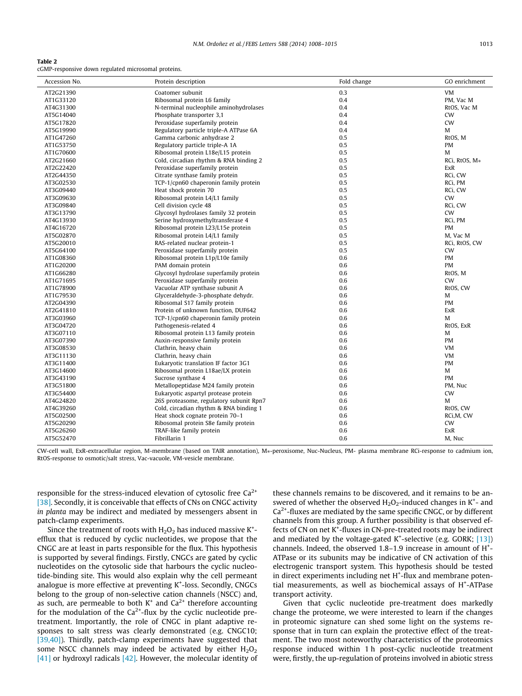#### <span id="page-5-0"></span>Table 2

cGMP-responsive down regulated microsomal proteins.

| 0.3<br>Coatomer subunit<br>VM<br>AT2G21390<br>Ribosomal protein L6 family<br>0.4<br>PM, Vac M<br>AT1G33120<br>N-terminal nucleophile aminohydrolases<br>0.4<br>AT4G31300<br>RtOS, Vac M<br>Phosphate transporter 3,1<br>0.4<br>CW<br>AT5G14040<br>Peroxidase superfamily protein<br>0.4<br><b>CW</b><br>AT5G17820<br>Regulatory particle triple-A ATPase 6A<br>0.4<br>AT5G19990<br>M<br>Gamma carbonic anhydrase 2<br>0.5<br>AT1G47260<br>RtOS, M<br>Regulatory particle triple-A 1A<br>0.5 |  |
|---------------------------------------------------------------------------------------------------------------------------------------------------------------------------------------------------------------------------------------------------------------------------------------------------------------------------------------------------------------------------------------------------------------------------------------------------------------------------------------------|--|
|                                                                                                                                                                                                                                                                                                                                                                                                                                                                                             |  |
|                                                                                                                                                                                                                                                                                                                                                                                                                                                                                             |  |
|                                                                                                                                                                                                                                                                                                                                                                                                                                                                                             |  |
|                                                                                                                                                                                                                                                                                                                                                                                                                                                                                             |  |
|                                                                                                                                                                                                                                                                                                                                                                                                                                                                                             |  |
|                                                                                                                                                                                                                                                                                                                                                                                                                                                                                             |  |
|                                                                                                                                                                                                                                                                                                                                                                                                                                                                                             |  |
| AT1G53750<br>PM                                                                                                                                                                                                                                                                                                                                                                                                                                                                             |  |
| Ribosomal protein L18e/L15 protein<br>0.5<br>M<br>AT1G70600                                                                                                                                                                                                                                                                                                                                                                                                                                 |  |
| AT2G21660<br>Cold, circadian rhythm & RNA binding 2<br>0.5<br>RCi, RtOS, M*                                                                                                                                                                                                                                                                                                                                                                                                                 |  |
| Peroxidase superfamily protein<br>0.5<br>AT2G22420<br>ExR                                                                                                                                                                                                                                                                                                                                                                                                                                   |  |
| Citrate synthase family protein<br>0.5<br>RCi, CW<br>AT2G44350                                                                                                                                                                                                                                                                                                                                                                                                                              |  |
| TCP-1/cpn60 chaperonin family protein<br>0.5<br>RCi, PM<br>AT3G02530                                                                                                                                                                                                                                                                                                                                                                                                                        |  |
| Heat shock protein 70<br>0.5<br>RCi, CW<br>AT3G09440                                                                                                                                                                                                                                                                                                                                                                                                                                        |  |
| Ribosomal protein L4/L1 family<br>0.5<br>CW<br>AT3G09630                                                                                                                                                                                                                                                                                                                                                                                                                                    |  |
| Cell division cycle 48<br>0.5<br>AT3G09840<br>RCi, CW                                                                                                                                                                                                                                                                                                                                                                                                                                       |  |
| Glycosyl hydrolases family 32 protein<br>0.5<br><b>CW</b><br>AT3G13790                                                                                                                                                                                                                                                                                                                                                                                                                      |  |
| 0.5<br>Serine hydroxymethyltransferase 4<br>RCi, PM<br>AT4G13930                                                                                                                                                                                                                                                                                                                                                                                                                            |  |
| Ribosomal protein L23/L15e protein<br>0.5<br>PM<br>AT4G16720                                                                                                                                                                                                                                                                                                                                                                                                                                |  |
| Ribosomal protein L4/L1 family<br>0.5<br>AT5G02870<br>M, Vac M                                                                                                                                                                                                                                                                                                                                                                                                                              |  |
| 0.5<br>RAS-related nuclear protein-1<br>RCi, RtOS, CW<br>AT5G20010                                                                                                                                                                                                                                                                                                                                                                                                                          |  |
| Peroxidase superfamily protein<br>0.5<br>CW<br>AT5G64100                                                                                                                                                                                                                                                                                                                                                                                                                                    |  |
| 0.6<br>Ribosomal protein L1p/L10e family<br>PM<br>AT1G08360                                                                                                                                                                                                                                                                                                                                                                                                                                 |  |
| PAM domain protein<br>0.6<br>AT1G20200<br>PM                                                                                                                                                                                                                                                                                                                                                                                                                                                |  |
| Glycosyl hydrolase superfamily protein<br>0.6<br>RtOS, M<br>AT1G66280                                                                                                                                                                                                                                                                                                                                                                                                                       |  |
| Peroxidase superfamily protein<br>0.6<br>CW<br>AT1G71695                                                                                                                                                                                                                                                                                                                                                                                                                                    |  |
| Vacuolar ATP synthase subunit A<br>0.6<br>AT1G78900<br>RtOS, CW                                                                                                                                                                                                                                                                                                                                                                                                                             |  |
| Glyceraldehyde-3-phosphate dehydr.<br>0.6<br>AT1G79530<br>M                                                                                                                                                                                                                                                                                                                                                                                                                                 |  |
| Ribosomal S17 family protein<br>0.6<br>PM<br>AT2G04390                                                                                                                                                                                                                                                                                                                                                                                                                                      |  |
| Protein of unknown function, DUF642<br>0.6<br>ExR<br>AT2G41810                                                                                                                                                                                                                                                                                                                                                                                                                              |  |
| 0.6<br>AT3G03960<br>TCP-1/cpn60 chaperonin family protein<br>M                                                                                                                                                                                                                                                                                                                                                                                                                              |  |
| Pathogenesis-related 4<br>0.6<br>RtOS, ExR<br>AT3G04720                                                                                                                                                                                                                                                                                                                                                                                                                                     |  |
| Ribosomal protein L13 family protein<br>AT3G07110<br>0.6<br>M                                                                                                                                                                                                                                                                                                                                                                                                                               |  |
| Auxin-responsive family protein<br>0.6<br>AT3G07390<br><b>PM</b>                                                                                                                                                                                                                                                                                                                                                                                                                            |  |
| Clathrin, heavy chain<br>0.6<br>VM<br>AT3G08530                                                                                                                                                                                                                                                                                                                                                                                                                                             |  |
| 0.6<br>VM<br>AT3G11130<br>Clathrin, heavy chain                                                                                                                                                                                                                                                                                                                                                                                                                                             |  |
| Eukaryotic translation IF factor 3G1<br>0.6<br><b>PM</b><br>AT3G11400                                                                                                                                                                                                                                                                                                                                                                                                                       |  |
| Ribosomal protein L18ae/LX protein<br>0.6<br>M<br>AT3G14600                                                                                                                                                                                                                                                                                                                                                                                                                                 |  |
| Sucrose synthase 4<br>0.6<br><b>PM</b><br>AT3G43190                                                                                                                                                                                                                                                                                                                                                                                                                                         |  |
| Metallopeptidase M24 family protein<br>0.6<br>AT3G51800<br>PM, Nuc                                                                                                                                                                                                                                                                                                                                                                                                                          |  |
| Eukaryotic aspartyl protease protein<br>0.6<br>AT3G54400<br>CW                                                                                                                                                                                                                                                                                                                                                                                                                              |  |
| 26S proteasome, regulatory subunit Rpn7<br>0.6<br>AT4G24820<br>М                                                                                                                                                                                                                                                                                                                                                                                                                            |  |
| Cold, circadian rhythm & RNA binding 1<br>0.6<br>RtOS, CW<br>AT4G39260                                                                                                                                                                                                                                                                                                                                                                                                                      |  |
| Heat shock cognate protein 70-1<br>0.6<br>AT5G02500<br>RCi, M, CW                                                                                                                                                                                                                                                                                                                                                                                                                           |  |
| AT5G20290<br>Ribosomal protein S8e family protein<br>0.6<br>CW                                                                                                                                                                                                                                                                                                                                                                                                                              |  |
| TRAF-like family protein<br>0.6<br><b>ExR</b><br>AT5G26260                                                                                                                                                                                                                                                                                                                                                                                                                                  |  |
| Fibrillarin 1<br>0.6<br>AT5G52470<br>M, Nuc                                                                                                                                                                                                                                                                                                                                                                                                                                                 |  |

CW-cell wall, ExR-extracellular region, M-membrane (based on TAIR annotation), M⁄-peroxisome, Nuc-Nucleus, PM- plasma membrane RCi-response to cadmium ion, RtOS-response to osmotic/salt stress, Vac-vacuole, VM-vesicle membrane.

responsible for the stress-induced elevation of cytosolic free Ca<sup>2+</sup> [\[38\].](#page-6-0) Secondly, it is conceivable that effects of CNs on CNGC activity in planta may be indirect and mediated by messengers absent in patch-clamp experiments.

Since the treatment of roots with  $H_2O_2$  has induced massive K<sup>+</sup>efflux that is reduced by cyclic nucleotides, we propose that the CNGC are at least in parts responsible for the flux. This hypothesis is supported by several findings. Firstly, CNGCs are gated by cyclic nucleotides on the cytosolic side that harbours the cyclic nucleotide-binding site. This would also explain why the cell permeant analogue is more effective at preventing K<sup>+</sup>-loss. Secondly, CNGCs belong to the group of non-selective cation channels (NSCC) and, as such, are permeable to both  $K^+$  and  $Ca^{2+}$  therefore accounting for the modulation of the  $Ca^{2+}$ -flux by the cyclic nucleotide pretreatment. Importantly, the role of CNGC in plant adaptive responses to salt stress was clearly demonstrated (e.g. CNGC10; [\[39,40\]](#page-6-0)). Thirdly, patch-clamp experiments have suggested that some NSCC channels may indeed be activated by either  $H_2O_2$ [\[41\]](#page-7-0) or hydroxyl radicals [\[42\]](#page-7-0). However, the molecular identity of

these channels remains to be discovered, and it remains to be answered of whether the observed  $H_2O_2$ -induced changes in  $K^+$ - and  $Ca<sup>2+</sup>$ -fluxes are mediated by the same specific CNGC, or by different channels from this group. A further possibility is that observed effects of CN on net K<sup>+</sup>-fluxes in CN-pre-treated roots may be indirect and mediated by the voltage-gated  $K^+$ -selective (e.g. GORK; [\[13\]\)](#page-6-0) channels. Indeed, the observed  $1.8-1.9$  increase in amount of  $H^+$ -ATPase or its subunits may be indicative of CN activation of this electrogenic transport system. This hypothesis should be tested in direct experiments including net H<sup>+</sup>-flux and membrane potential measurements, as well as biochemical assays of H<sup>+</sup>-ATPase transport activity.

Given that cyclic nucleotide pre-treatment does markedly change the proteome, we were interested to learn if the changes in proteomic signature can shed some light on the systems response that in turn can explain the protective effect of the treatment. The two most noteworthy characteristics of the proteomics response induced within 1 h post-cyclic nucleotide treatment were, firstly, the up-regulation of proteins involved in abiotic stress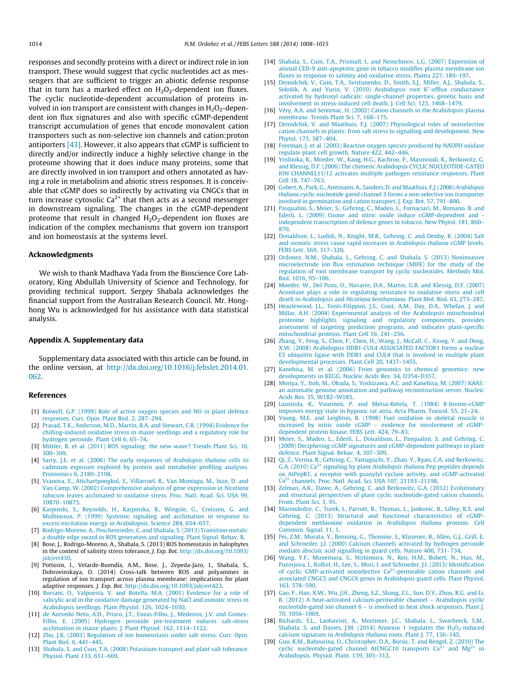<span id="page-6-0"></span>responses and secondly proteins with a direct or indirect role in ion transport. These would suggest that cyclic nucleotides act as messengers that are sufficient to trigger an abiotic defense response that in turn has a marked effect on  $H_2O_2$ -dependent ion fluxes. The cyclic nucleotide-dependent accumulation of proteins involved in ion transport are consistent with changes in  $H_2O_2$ -dependent ion flux signatures and also with specific cGMP-dependent transcript accumulation of genes that encode monovalent cation transporters such as non-selective ion channels and cation:proton antiporters  $[43]$ . However, it also appears that cGMP is sufficient to directly and/or indirectly induce a highly selective change in the proteome showing that it does induce many proteins, some that are directly involved in ion transport and others annotated as having a role in metabolism and abiotic stress responses. It is conceivable that cGMP does so indirectly by activating via CNGCs that in turn increase cytosolic  $Ca^{2+}$  that then acts as a second messenger in downstream signaling. The changes in the cGMP-dependent proteome that result in changed  $H_2O_2$ -dependent ion fluxes are indication of the complex mechanisms that govern ion transport and ion homeostasis at the systems level.

#### Acknowledgments

We wish to thank Madhava Yada from the Bioscience Core Laboratory, King Abdullah University of Science and Technology, for providing technical support. Sergey Shabala acknowledges the financial support from the Australian Research Council. Mr. Honghong Wu is acknowledged for his assistance with data statistical analysis.

### Appendix A. Supplementary data

Supplementary data associated with this article can be found, in the online version, at [http://dx.doi.org/10.1016/j.febslet.2014.01.](http://dx.doi.org/10.1016/j.febslet.2014.01.062) [062.](http://dx.doi.org/10.1016/j.febslet.2014.01.062)

# References

- [1] [Bolwell, G.P. \(1999\) Role of active oxygen species and NO in plant defence](http://refhub.elsevier.com/S0014-5793(14)00105-7/h0005) [responses. Curr. Opin. Plant Biol. 2, 287–294](http://refhub.elsevier.com/S0014-5793(14)00105-7/h0005).
- [2] [Prasad, T.K., Anderson, M.D., Martin, B.A. and Stewart, C.R. \(1994\) Evidence for](http://refhub.elsevier.com/S0014-5793(14)00105-7/h0010) [chilling-induced oxidative stress in maize seedlings and a regulatory role for](http://refhub.elsevier.com/S0014-5793(14)00105-7/h0010) [hydrogen peroxide. Plant Cell 6, 65–74](http://refhub.elsevier.com/S0014-5793(14)00105-7/h0010).
- [3] [Mittler, R. et al. \(2011\) ROS signaling: the new wave? Trends Plant Sci. 16,](http://refhub.elsevier.com/S0014-5793(14)00105-7/h0015) [300–309](http://refhub.elsevier.com/S0014-5793(14)00105-7/h0015).
- [4] [Sarry, J.E. et al. \(2006\) The early responses of](http://refhub.elsevier.com/S0014-5793(14)00105-7/h0020) Arabidopsis thaliana cells to [cadmium exposure explored by protein and metabolite profiling analyses.](http://refhub.elsevier.com/S0014-5793(14)00105-7/h0020) [Proteomics 6, 2180–2198](http://refhub.elsevier.com/S0014-5793(14)00105-7/h0020).
- [5] [Vranova, E., Atichartpongkul, S., Villarroel, R., Van Montagu, M., Inze, D. and](http://refhub.elsevier.com/S0014-5793(14)00105-7/h0025) [Van Camp, W. \(2002\) Comprehensive analysis of gene expression in](http://refhub.elsevier.com/S0014-5793(14)00105-7/h0025) Nicotiana tabacum [leaves acclimated to oxidative stress. Proc. Natl. Acad. Sci. USA 99,](http://refhub.elsevier.com/S0014-5793(14)00105-7/h0025) [10870–10875](http://refhub.elsevier.com/S0014-5793(14)00105-7/h0025).
- [6] [Karpinski, S., Reynolds, H., Karpinska, B., Wingsle, G., Creissen, G. and](http://refhub.elsevier.com/S0014-5793(14)00105-7/h0030) [Mullineaux, P. \(1999\) Systemic signaling and acclimation in response to](http://refhub.elsevier.com/S0014-5793(14)00105-7/h0030) [excess excitation energy in Arabidopsis. Science 284, 654–657.](http://refhub.elsevier.com/S0014-5793(14)00105-7/h0030)
- [7] [Rodrigo-Moreno, A., Poschenrieder, C. and Shabala, S. \(2013\) Transition metals:](http://refhub.elsevier.com/S0014-5793(14)00105-7/h0035)
- [a double edge sward in ROS generation and signaling. Plant Signal. Behav. 8.](http://refhub.elsevier.com/S0014-5793(14)00105-7/h0035) [8] Bose, J., Rodrigo-Moreno, A., Shabala, S. (2013) ROS homeostasis in halophytes in the context of salinity stress tolerance, J. Exp. Bot. [http://dx.doi.org/10.1093/](http://dx.doi.org/10.1093/jxb/ert430)
- [jxb/ert430](http://dx.doi.org/10.1093/jxb/ert430). [9] Pottosin, I., Velarde-Buendía, A.M., Bose, J., Zepeda-Jazo, I., Shabala, S. Dobrovinskaya, O. (2014) Cross-talk between ROS and polyamines in regulation of ion transport across plasma membrane: implications for plant adaptive responses. J. Exp. Bot. [http://dx.doi.org/10.1093/jxb/ert423](http://dx.doi.org/10.1093/jxb/ert430).
- [10] [Borsani, O., Valpuesta, V. and Botella, M.A. \(2001\) Evidence for a role of](http://refhub.elsevier.com/S0014-5793(14)00105-7/h0050) [salicylic acid in the oxidative damage generated by NaCl and osmotic stress in](http://refhub.elsevier.com/S0014-5793(14)00105-7/h0050) [Arabidopsis seedlings. Plant Physiol. 126, 1024–1030.](http://refhub.elsevier.com/S0014-5793(14)00105-7/h0050)
- [11] [de Azevedo Neto, A.D., Prisco, J.T., Eneas-Filho, J., Medeiros, J.V. and Gomes-](http://refhub.elsevier.com/S0014-5793(14)00105-7/h0055)[Filho, E. \(2005\) Hydrogen peroxide pre-treatment induces salt-stress](http://refhub.elsevier.com/S0014-5793(14)00105-7/h0055) [acclimation in maize plants. J. Plant Physiol. 162, 1114–1122](http://refhub.elsevier.com/S0014-5793(14)00105-7/h0055).
- [12] [Zhu, J.K. \(2003\) Regulation of ion homeostasis under salt stress. Curr. Opin.](http://refhub.elsevier.com/S0014-5793(14)00105-7/h0060) [Plant Biol. 6, 441–445](http://refhub.elsevier.com/S0014-5793(14)00105-7/h0060).
- [13] [Shabala, S. and Cuin, T.A. \(2008\) Potassium transport and plant salt tolerance.](http://refhub.elsevier.com/S0014-5793(14)00105-7/h0065) [Physiol. Plant 133, 651–669](http://refhub.elsevier.com/S0014-5793(14)00105-7/h0065).
- [14] [Shabala, S., Cuin, T.A., Prismall, L. and Nemchinov, L.G. \(2007\) Expression of](http://refhub.elsevier.com/S0014-5793(14)00105-7/h0070) [animal CED-9 anti-apoptotic gene in tobacco modifies plasma membrane ion](http://refhub.elsevier.com/S0014-5793(14)00105-7/h0070) [fluxes in response to salinity and oxidative stress. Planta 227, 189–197](http://refhub.elsevier.com/S0014-5793(14)00105-7/h0070).
- [15] Demidchik, V., Cuin, T.A., Svistunenko, D., Smith, S.J., Miller, A.J., Shabala, S. Sokolik, A. and Yurin, V. (2010) Arabidopsis root K<sup>+</sup>[-efflux conductance](http://refhub.elsevier.com/S0014-5793(14)00105-7/h0075) [activated by hydroxyl radicals: single-channel properties, genetic basis and](http://refhub.elsevier.com/S0014-5793(14)00105-7/h0075) [involvement in stress-induced cell death. J. Cell Sci. 123, 1468–1479.](http://refhub.elsevier.com/S0014-5793(14)00105-7/h0075)
- [16] [Véry, A.A. and Sentenac, H. \(2002\) Cation channels in the Arabidopsis plasma](http://refhub.elsevier.com/S0014-5793(14)00105-7/h0080) [membrane. Trends Plant Sci. 7, 168–175](http://refhub.elsevier.com/S0014-5793(14)00105-7/h0080).
- [17] [Demidchik, V. and Maathuis, F.J. \(2007\) Physiological roles of nonselective](http://refhub.elsevier.com/S0014-5793(14)00105-7/h0085) [cation channels in plants: from salt stress to signalling and development. New](http://refhub.elsevier.com/S0014-5793(14)00105-7/h0085) [Phytol. 175, 387–404.](http://refhub.elsevier.com/S0014-5793(14)00105-7/h0085)
- [18] [Foreman, J. et al. \(2003\) Reactive oxygen species produced by NADPH oxidase](http://refhub.elsevier.com/S0014-5793(14)00105-7/h0090) [regulate plant cell growth. Nature 422, 442–446.](http://refhub.elsevier.com/S0014-5793(14)00105-7/h0090)
- [19] [Yoshioka, K., Moeder, W., Kang, H.G., Kachroo, P., Masmoudi, K., Berkowitz, G.](http://refhub.elsevier.com/S0014-5793(14)00105-7/h0095) [and Klessig, D.F. \(2006\) The chimeric Arabidopsis CYCLIC NUCLEOTIDE-GATED](http://refhub.elsevier.com/S0014-5793(14)00105-7/h0095) [ION CHANNEL11/12 activates multiple pathogen resistance responses. Plant](http://refhub.elsevier.com/S0014-5793(14)00105-7/h0095) [Cell 18, 747–763.](http://refhub.elsevier.com/S0014-5793(14)00105-7/h0095)
- [20] [Gobert, A., Park, G., Amtmann, A., Sanders, D. and Maathuis, F.J. \(2006\)](http://refhub.elsevier.com/S0014-5793(14)00105-7/h0100) Arabidopsis thaliana [cyclic nucleotide gated channel 3 forms a non-selective ion transporter](http://refhub.elsevier.com/S0014-5793(14)00105-7/h0100) [involved in germination and cation transport. J. Exp. Bot. 57, 791–800](http://refhub.elsevier.com/S0014-5793(14)00105-7/h0100).
- [21] [Pasqualini, S., Meier, S., Gehring, C., Madeo, L., Fornaciari, M., Romano, B. and](http://refhub.elsevier.com/S0014-5793(14)00105-7/h0105) [Ederli, L. \(2009\) Ozone and nitric oxide induce cGMP-dependent and](http://refhub.elsevier.com/S0014-5793(14)00105-7/h0105)  [independent transcription of defence genes in tobacco. New Phytol. 181, 860–](http://refhub.elsevier.com/S0014-5793(14)00105-7/h0105) [870.](http://refhub.elsevier.com/S0014-5793(14)00105-7/h0105)
- [22] [Donaldson, L., Ludidi, N., Knight, M.R., Gehring, C. and Denby, K. \(2004\) Salt](http://refhub.elsevier.com/S0014-5793(14)00105-7/h0110) [and osmotic stress cause rapid increases in](http://refhub.elsevier.com/S0014-5793(14)00105-7/h0110) Arabidopsis thaliana cGMP levels. [FEBS Lett. 569, 317–320.](http://refhub.elsevier.com/S0014-5793(14)00105-7/h0110)
- [23] [Ordonez, N.M., Shabala, L., Gehring, C. and Shabala, S. \(2013\) Noninvasive](http://refhub.elsevier.com/S0014-5793(14)00105-7/h0115) [microelectrode ion flux estimation technique \(MIFE\) for the study of the](http://refhub.elsevier.com/S0014-5793(14)00105-7/h0115) [regulation of root membrane transport by cyclic nucleotides. Methods Mol.](http://refhub.elsevier.com/S0014-5793(14)00105-7/h0115) [Biol. 1016, 95–106](http://refhub.elsevier.com/S0014-5793(14)00105-7/h0115).
- [24] [Moeder, W., Del Pozo, O., Navarre, D.A., Martin, G.B. and Klessig, D.F. \(2007\)](http://refhub.elsevier.com/S0014-5793(14)00105-7/h0120) [Aconitase plays a role in regulating resistance to oxidative stress and cell](http://refhub.elsevier.com/S0014-5793(14)00105-7/h0120) death in Arabidopsis and Nicotiana benthamiana[. Plant Mol. Biol. 63, 273–287](http://refhub.elsevier.com/S0014-5793(14)00105-7/h0120).
- [25] [Heazlewood, J.L., Tonti-Filippini, J.S., Gout, A.M., Day, D.A., Whelan, J. and](http://refhub.elsevier.com/S0014-5793(14)00105-7/h0125) [Millar, A.H. \(2004\) Experimental analysis of the Arabidopsis mitochondrial](http://refhub.elsevier.com/S0014-5793(14)00105-7/h0125) [proteome highlights signaling and regulatory components, provides](http://refhub.elsevier.com/S0014-5793(14)00105-7/h0125) [assessment of targeting prediction programs, and indicates plant-specific](http://refhub.elsevier.com/S0014-5793(14)00105-7/h0125) [mitochondrial proteins. Plant Cell 16, 241–256.](http://refhub.elsevier.com/S0014-5793(14)00105-7/h0125)
- [26] [Zhang, Y., Feng, S., Chen, F., Chen, H., Wang, J., McCall, C., Xiong, Y. and Deng,](http://refhub.elsevier.com/S0014-5793(14)00105-7/h0130) [X.W. \(2008\) Arabidopsis DDB1-CUL4 ASSOCIATED FACTOR1 forms a nuclear](http://refhub.elsevier.com/S0014-5793(14)00105-7/h0130) [E3 ubiquitin ligase with DDB1 and CUL4 that is involved in multiple plant](http://refhub.elsevier.com/S0014-5793(14)00105-7/h0130) [developmental processes. Plant Cell 20, 1437–1455.](http://refhub.elsevier.com/S0014-5793(14)00105-7/h0130)
- [27] [Kanehisa, M. et al. \(2006\) From genomics to chemical genomics: new](http://refhub.elsevier.com/S0014-5793(14)00105-7/h0135) [developments in KEGG. Nucleic Acids Res. 34, D354–D357](http://refhub.elsevier.com/S0014-5793(14)00105-7/h0135).
- [28] [Moriya, Y., Itoh, M., Okuda, S., Yoshizawa, A.C. and Kanehisa, M. \(2007\) KAAS:](http://refhub.elsevier.com/S0014-5793(14)00105-7/h0140) [an automatic genome annotation and pathway reconstruction server. Nucleic](http://refhub.elsevier.com/S0014-5793(14)00105-7/h0140) [Acids Res. 35, W182–W185](http://refhub.elsevier.com/S0014-5793(14)00105-7/h0140).
- [29] [Laustiola, K., Vuorinen, P. and Metsa-Ketela, T. \(1984\) 8-bromo-cGMP](http://refhub.elsevier.com/S0014-5793(14)00105-7/h0145) [improves energy state in hypoxic rat atria. Acta Pharm. Toxicol. 55, 21–24.](http://refhub.elsevier.com/S0014-5793(14)00105-7/h0145)
- [30] [Young, M.E. and Leighton, B. \(1998\) Fuel oxidation in skeletal muscle is](http://refhub.elsevier.com/S0014-5793(14)00105-7/h0150) [increased by nitric oxide cGMP – evidence for involvement of cGMP](http://refhub.elsevier.com/S0014-5793(14)00105-7/h0150)[dependent protein kinase. FEBS Lett. 424, 79–83.](http://refhub.elsevier.com/S0014-5793(14)00105-7/h0150)
- [31] [Meier, S., Madeo, L., Ederli, L., Donaldson, L., Pasqualini, S. and Gehring, C.](http://refhub.elsevier.com/S0014-5793(14)00105-7/h0155) [\(2009\) Deciphering cGMP signatures and cGMP-dependent pathways in plant](http://refhub.elsevier.com/S0014-5793(14)00105-7/h0155) [defence. Plant Signal. Behav. 4, 307–309.](http://refhub.elsevier.com/S0014-5793(14)00105-7/h0155)
- [32] [Qi, Z., Verma, R., Gehring, C., Yamaguchi, Y., Zhao, Y., Ryan, C.A. and Berkowitz,](http://refhub.elsevier.com/S0014-5793(14)00105-7/h0160) [G.A.](http://refhub.elsevier.com/S0014-5793(14)00105-7/h0160) [\(2010\)](http://refhub.elsevier.com/S0014-5793(14)00105-7/h0160)  $Ca^{2+}$  $Ca^{2+}$  signaling by plant Arabidopsis thaliana [Pep peptides depends](http://refhub.elsevier.com/S0014-5793(14)00105-7/h0160) [on AtPepR1, a receptor with guanylyl cyclase activity, and cGMP-activated](http://refhub.elsevier.com/S0014-5793(14)00105-7/h0160) [Ca](http://refhub.elsevier.com/S0014-5793(14)00105-7/h0160)2+ [channels. Proc. Natl. Acad. Sci. USA 107, 21193–21198.](http://refhub.elsevier.com/S0014-5793(14)00105-7/h0160)
- [33] [Zelman, A.K., Dawe, A., Gehring, C. and Berkowitz, G.A. \(2012\) Evolutionary](http://refhub.elsevier.com/S0014-5793(14)00105-7/h0165) [and structural perspectives of plant cyclic nucleotide-gated cation channels.](http://refhub.elsevier.com/S0014-5793(14)00105-7/h0165) [Front. Plant Sci. 3, 95.](http://refhub.elsevier.com/S0014-5793(14)00105-7/h0165)
- [34] [Marondedze, C., Turek, I., Parrott, B., Thomas, L., Jankovic, B., Lilley, K.S. and](http://refhub.elsevier.com/S0014-5793(14)00105-7/h0170) [Gehring, C. \(2013\) Structural and functional characteristics of cGMP](http://refhub.elsevier.com/S0014-5793(14)00105-7/h0170)[dependent methionine oxidation in](http://refhub.elsevier.com/S0014-5793(14)00105-7/h0170) Arabidopsis thaliana proteins. Cell [Commun. Signal. 11, 1.](http://refhub.elsevier.com/S0014-5793(14)00105-7/h0170)
- [35] [Pei, Z.M., Murata, Y., Benning, G., Thomine, S., Klusener, B., Allen, G.J., Grill, E.](http://refhub.elsevier.com/S0014-5793(14)00105-7/h0175) [and Schroeder, J.I. \(2000\) Calcium channels activated by hydrogen peroxide](http://refhub.elsevier.com/S0014-5793(14)00105-7/h0175) [mediate abscisic acid signalling in guard cells. Nature 406, 731–734.](http://refhub.elsevier.com/S0014-5793(14)00105-7/h0175)
- [36] [Wang, Y.F., Munemasa, S., Nishimura, N., Ren, H.M., Robert, N., Han, M.,](http://refhub.elsevier.com/S0014-5793(14)00105-7/h0180) [Puzorjova, I., Kollist, H., Lee, S., Mori, I. and Schroeder, J.I. \(2013\) Identification](http://refhub.elsevier.com/S0014-5793(14)00105-7/h0180)<br>[of cyclic GMP-activated nonselective Ca](http://refhub.elsevier.com/S0014-5793(14)00105-7/h0180)<sup>2+</sup>[-permeable cation channels and](http://refhub.elsevier.com/S0014-5793(14)00105-7/h0180) [associated CNGC5 and CNGC6 genes in Arabidopsis guard cells. Plant Physiol.](http://refhub.elsevier.com/S0014-5793(14)00105-7/h0180) [163, 578–590.](http://refhub.elsevier.com/S0014-5793(14)00105-7/h0180)
- [37] [Gao, F., Han, X.W., Wu, J.H., Zheng, S.Z., Shang, Z.L., Sun, D.Y., Zhou, R.G. and Li,](http://refhub.elsevier.com/S0014-5793(14)00105-7/h0185) [B. \(2012\) A heat-activated calcium-permeable channel – Arabidopsis cyclic](http://refhub.elsevier.com/S0014-5793(14)00105-7/h0185) [nucleotide-gated ion channel 6 – is involved in heat shock responses. Plant J.](http://refhub.elsevier.com/S0014-5793(14)00105-7/h0185) [70, 1056–1069.](http://refhub.elsevier.com/S0014-5793(14)00105-7/h0185)
- [38] [Richards, S.L., Laohavisit, A., Mortimer, J.C., Shabala, L., Swarbreck, S.M.,](http://refhub.elsevier.com/S0014-5793(14)00105-7/h0190) Shabala, S. and Davies, J.M. (2014) Annexin 1 regulates the  $H_2O_2$ -induced calcium signature in Arabidopsis thaliana [roots. Plant J. 77, 136–145](http://refhub.elsevier.com/S0014-5793(14)00105-7/h0190).
- [39] [Guo, K.M., Babourina, O., Christopher, D.A., Borsic, T. and Rengel, Z. \(2010\) The](http://refhub.elsevier.com/S0014-5793(14)00105-7/h0195) [cyclic](http://refhub.elsevier.com/S0014-5793(14)00105-7/h0195) [nucleotide-gated](http://refhub.elsevier.com/S0014-5793(14)00105-7/h0195) [channel](http://refhub.elsevier.com/S0014-5793(14)00105-7/h0195) [AtCNGC10](http://refhub.elsevier.com/S0014-5793(14)00105-7/h0195) [transports](http://refhub.elsevier.com/S0014-5793(14)00105-7/h0195)  $Ca<sup>2+</sup>$  $Ca<sup>2+</sup>$  [and](http://refhub.elsevier.com/S0014-5793(14)00105-7/h0195) [Mg](http://refhub.elsevier.com/S0014-5793(14)00105-7/h0195) [Arabidopsis. Physiol. Plant. 139, 303–312.](http://refhub.elsevier.com/S0014-5793(14)00105-7/h0195)